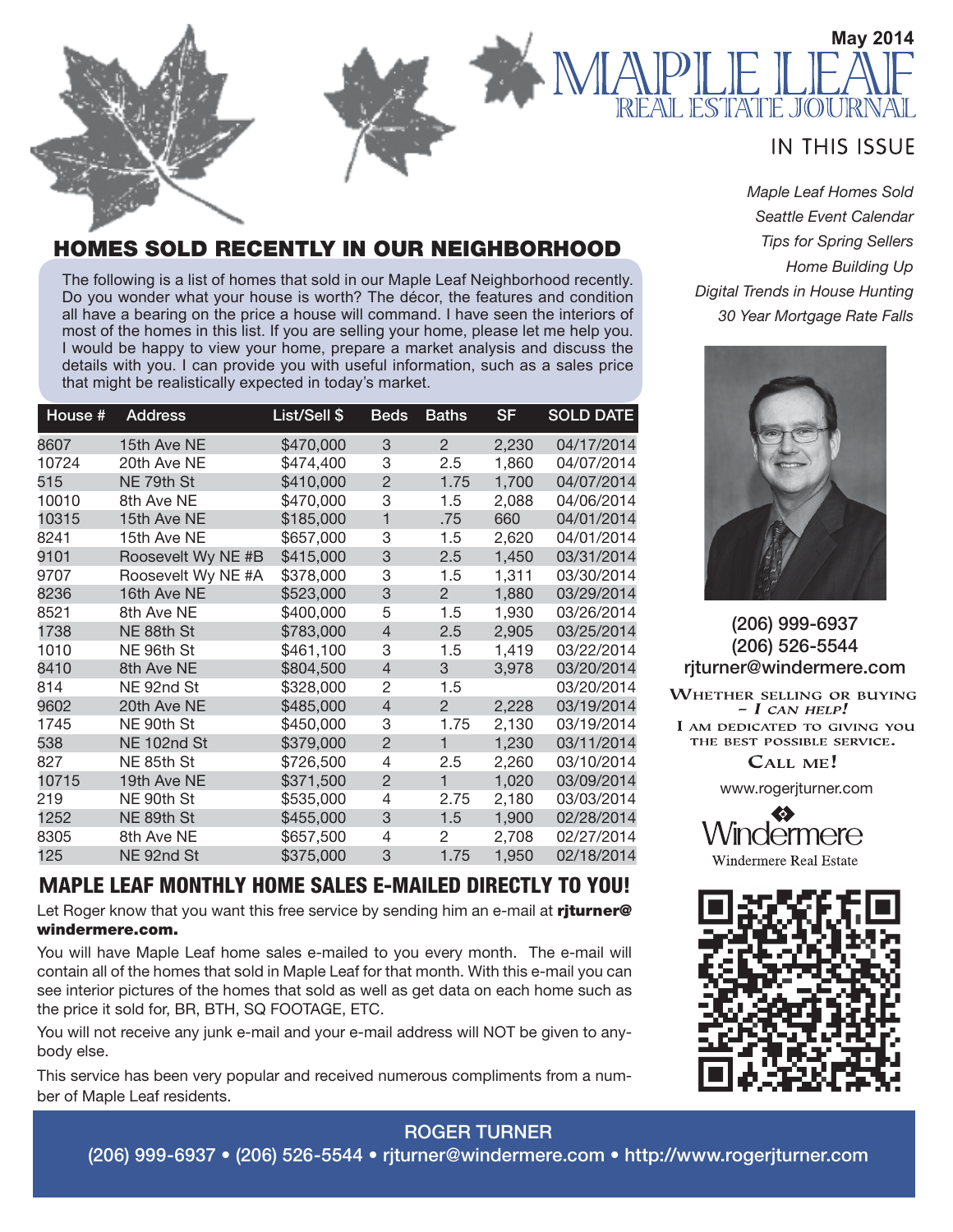

#### *Maple Leaf Homes Sold Seattle Event Calendar Tips for Spring Sellers Home Building Up Digital Trends in House Hunting 30 Year Mortgage Rate Falls*



(206) 999-6937 (206) 526-5544 rjturner@windermere.com

WHETHER SELLING OR BUYING  $-I$  CAN HELP! I AM DEDICATED TO GIVING YOU THE BEST POSSIBLE SERVICE.

CALL ME!

www.rogerjturner.com





#### **ES SOLD RECENTLY IN OUR NEIGHBORHOOD**

The following is a list of homes that sold in our Maple Leaf Neighborhood recently. Do you wonder what your house is worth? The décor, the features and condition all have a bearing on the price a house will command. I have seen the interiors of most of the homes in this list. If you are selling your home, please let me help you. I would be happy to view your home, prepare a market analysis and discuss the details with you. I can provide you with useful information, such as a sales price that might be realistically expected in today's market.

| House # | <b>Address</b>     | List/Sell \$ | <b>Beds</b>    | <b>Baths</b> | <b>SF</b> | <b>SOLD DATE</b> |
|---------|--------------------|--------------|----------------|--------------|-----------|------------------|
| 8607    | 15th Ave NE        | \$470,000    | 3              | 2            | 2,230     | 04/17/2014       |
| 10724   | 20th Ave NE        | \$474,400    | 3              | 2.5          | 1,860     | 04/07/2014       |
| 515     | NE 79th St         | \$410,000    | $\overline{2}$ | 1.75         | 1,700     | 04/07/2014       |
| 10010   | 8th Ave NE         | \$470,000    | 3              | 1.5          | 2,088     | 04/06/2014       |
| 10315   | 15th Ave NE        | \$185,000    | 1              | .75          | 660       | 04/01/2014       |
| 8241    | 15th Ave NE        | \$657,000    | 3              | 1.5          | 2,620     | 04/01/2014       |
| 9101    | Roosevelt Wy NE #B | \$415,000    | 3              | 2.5          | 1,450     | 03/31/2014       |
| 9707    | Roosevelt Wy NE #A | \$378,000    | 3              | 1.5          | 1,311     | 03/30/2014       |
| 8236    | 16th Ave NE        | \$523,000    | 3              | 2            | 1,880     | 03/29/2014       |
| 8521    | 8th Ave NE         | \$400,000    | 5              | 1.5          | 1,930     | 03/26/2014       |
| 1738    | NE 88th St         | \$783,000    | $\overline{4}$ | 2.5          | 2,905     | 03/25/2014       |
| 1010    | NE 96th St         | \$461,100    | 3              | 1.5          | 1,419     | 03/22/2014       |
| 8410    | 8th Ave NE         | \$804,500    | $\overline{4}$ | 3            | 3,978     | 03/20/2014       |
| 814     | NE 92nd St         | \$328,000    | $\overline{2}$ | 1.5          |           | 03/20/2014       |
| 9602    | 20th Ave NE        | \$485,000    | $\overline{4}$ | 2            | 2,228     | 03/19/2014       |
| 1745    | NE 90th St         | \$450,000    | 3              | 1.75         | 2,130     | 03/19/2014       |
| 538     | NE 102nd St        | \$379,000    | $\overline{2}$ | 1            | 1,230     | 03/11/2014       |
| 827     | NE 85th St         | \$726,500    | 4              | 2.5          | 2,260     | 03/10/2014       |
| 10715   | 19th Ave NE        | \$371,500    | $\overline{2}$ | 1            | 1,020     | 03/09/2014       |
| 219     | NE 90th St         | \$535,000    | 4              | 2.75         | 2,180     | 03/03/2014       |
| 1252    | NE 89th St         | \$455,000    | 3              | 1.5          | 1,900     | 02/28/2014       |
| 8305    | 8th Ave NE         | \$657,500    | 4              | 2            | 2,708     | 02/27/2014       |
| 125     | NE 92nd St         | \$375,000    | 3              | 1.75         | 1,950     | 02/18/2014       |

#### **M**APLE LEAF MONTHLY HOME SALES E-MAILED DIRECTLY TO YOU!

Let Roger know that you want this free service by sending him an e-mail at riturner@ windermere.com.

You will have Maple Leaf home sales e-mailed to you every month. The e-mail will contain all of the homes that sold in Maple Leaf for that month. With this e-mail you can see interior pictures of the homes that sold as well as get data on each home such as the price it sold for, BR, BTH, SQ FOOTAGE, ETC.

You will not receive any junk e-mail and your e-mail address will NOT be given to anybody else.

This service has been very popular and received numerous compliments from a number of Maple Leaf residents.

## ROGER TURNER

(206) 999-6937 • (206) 526-5544 • rjturner@windermere.com • http://www.rogerjturner.com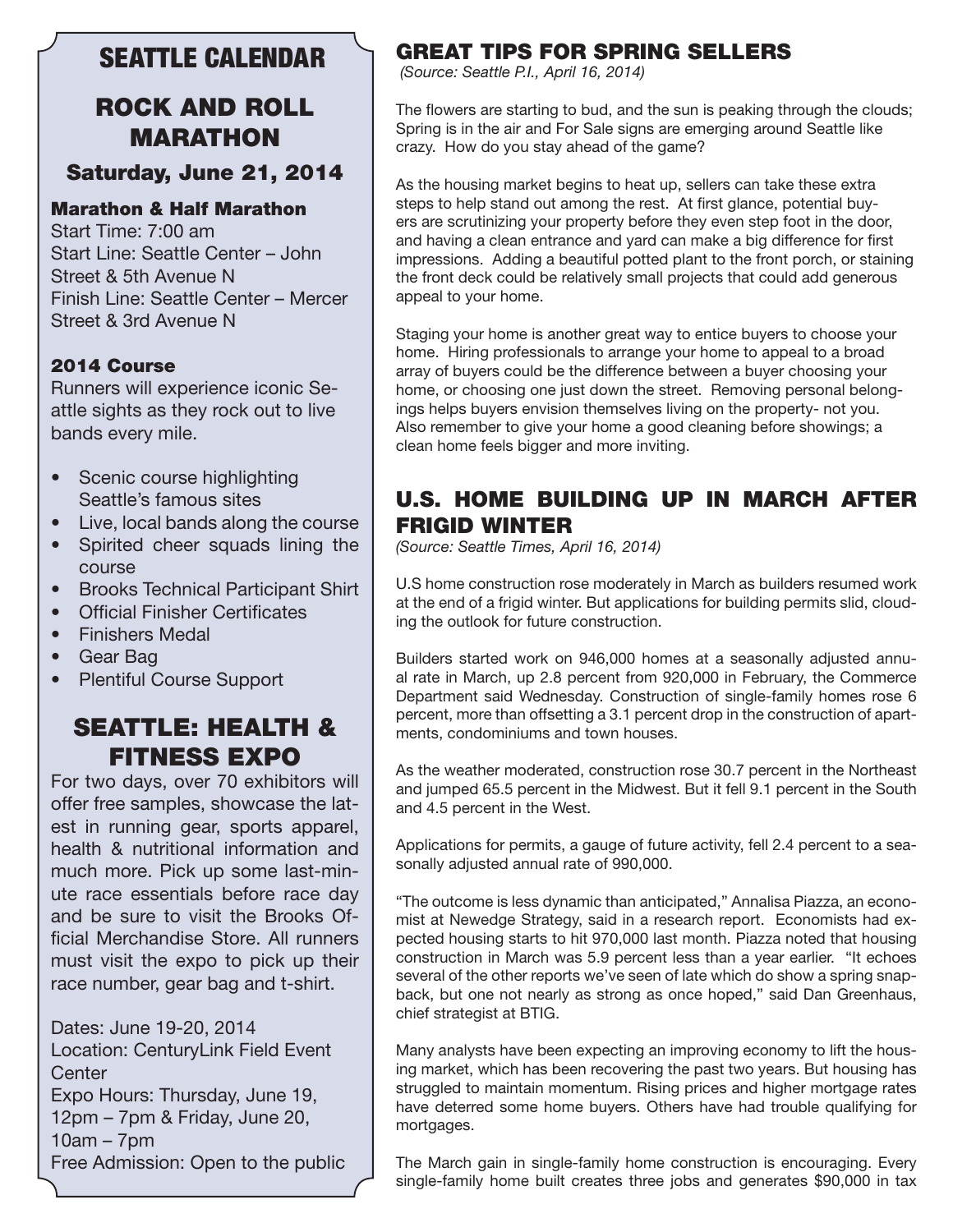# SEATTLE CALENDAR

# ROCK AND ROLL MARATHON

#### Saturday, June 21, 2014

#### Marathon & Half Marathon

Start Time: 7:00 am Start Line: Seattle Center – John Street & 5th Avenue N Finish Line: Seattle Center – Mercer Street & 3rd Avenue N

#### 2014 Course

Runners will experience iconic Seattle sights as they rock out to live bands every mile.

- Scenic course highlighting Seattle's famous sites
- Live, local bands along the course
- Spirited cheer squads lining the course
- Brooks Technical Participant Shirt
- Official Finisher Certificates
- Finishers Medal
- Gear Bag
- Plentiful Course Support

### SEATTLE: HEALTH & FITNESS EXPO

For two days, over 70 exhibitors will offer free samples, showcase the latest in running gear, sports apparel, health & nutritional information and much more. Pick up some last-minute race essentials before race day and be sure to visit the Brooks Official Merchandise Store. All runners must visit the expo to pick up their race number, gear bag and t-shirt.

Dates: June 19-20, 2014 Location: CenturyLink Field Event **Center** Expo Hours: Thursday, June 19, 12pm – 7pm & Friday, June 20, 10am – 7pm Free Admission: Open to the public

#### GREAT TIPS FOR SPRING SELLERS

 *(Source: Seattle P.I., April 16, 2014)*

The flowers are starting to bud, and the sun is peaking through the clouds; Spring is in the air and For Sale signs are emerging around Seattle like crazy. How do you stay ahead of the game?

As the housing market begins to heat up, sellers can take these extra steps to help stand out among the rest. At first glance, potential buyers are scrutinizing your property before they even step foot in the door, and having a clean entrance and yard can make a big difference for first impressions. Adding a beautiful potted plant to the front porch, or staining the front deck could be relatively small projects that could add generous appeal to your home.

Staging your home is another great way to entice buyers to choose your home. Hiring professionals to arrange your home to appeal to a broad array of buyers could be the difference between a buyer choosing your home, or choosing one just down the street. Removing personal belongings helps buyers envision themselves living on the property- not you. Also remember to give your home a good cleaning before showings; a clean home feels bigger and more inviting.

#### U.S. HOME BUILDING UP IN MARCH AFTER FRIGID WINTER

*(Source: Seattle Times, April 16, 2014)*

U.S home construction rose moderately in March as builders resumed work at the end of a frigid winter. But applications for building permits slid, clouding the outlook for future construction.

Builders started work on 946,000 homes at a seasonally adjusted annual rate in March, up 2.8 percent from 920,000 in February, the Commerce Department said Wednesday. Construction of single-family homes rose 6 percent, more than offsetting a 3.1 percent drop in the construction of apartments, condominiums and town houses.

As the weather moderated, construction rose 30.7 percent in the Northeast and jumped 65.5 percent in the Midwest. But it fell 9.1 percent in the South and 4.5 percent in the West.

Applications for permits, a gauge of future activity, fell 2.4 percent to a seasonally adjusted annual rate of 990,000.

"The outcome is less dynamic than anticipated," Annalisa Piazza, an economist at Newedge Strategy, said in a research report. Economists had expected housing starts to hit 970,000 last month. Piazza noted that housing construction in March was 5.9 percent less than a year earlier. "It echoes several of the other reports we've seen of late which do show a spring snapback, but one not nearly as strong as once hoped," said Dan Greenhaus, chief strategist at BTIG.

Many analysts have been expecting an improving economy to lift the housing market, which has been recovering the past two years. But housing has struggled to maintain momentum. Rising prices and higher mortgage rates have deterred some home buyers. Others have had trouble qualifying for mortgages.

The March gain in single-family home construction is encouraging. Every single-family home built creates three jobs and generates \$90,000 in tax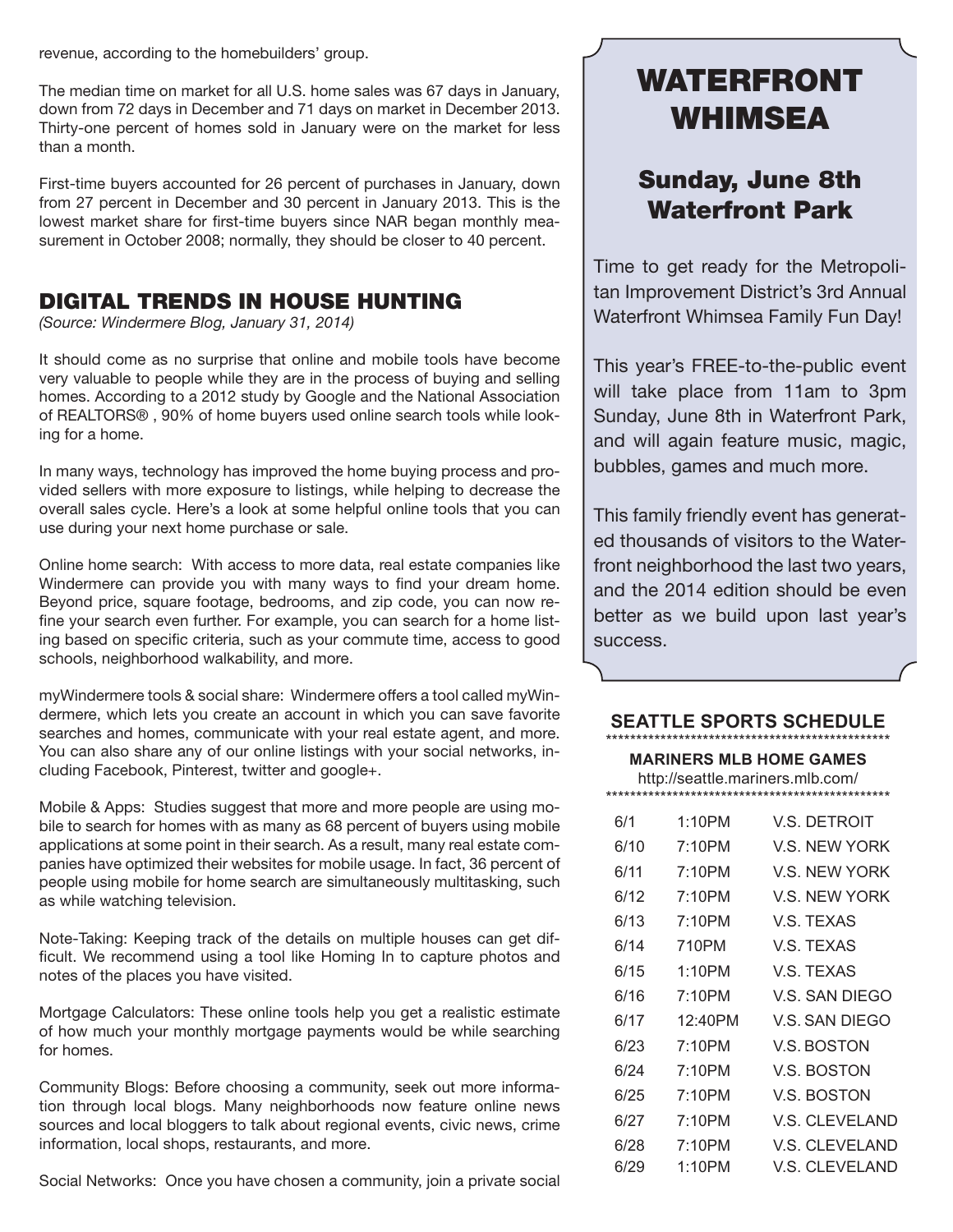revenue, according to the homebuilders' group.

The median time on market for all U.S. home sales was 67 days in January, down from 72 days in December and 71 days on market in December 2013. Thirty-one percent of homes sold in January were on the market for less than a month.

First-time buyers accounted for 26 percent of purchases in January, down from 27 percent in December and 30 percent in January 2013. This is the lowest market share for first-time buyers since NAR began monthly measurement in October 2008; normally, they should be closer to 40 percent.

#### DIGITAL TRENDS IN HOUSE HUNTING

*(Source: Windermere Blog, January 31, 2014)*

It should come as no surprise that online and mobile tools have become very valuable to people while they are in the process of buying and selling homes. According to a 2012 study by Google and the National Association of REALTORS® , 90% of home buyers used online search tools while looking for a home.

In many ways, technology has improved the home buying process and provided sellers with more exposure to listings, while helping to decrease the overall sales cycle. Here's a look at some helpful online tools that you can use during your next home purchase or sale.

Online home search: With access to more data, real estate companies like Windermere can provide you with many ways to find your dream home. Beyond price, square footage, bedrooms, and zip code, you can now refine your search even further. For example, you can search for a home listing based on specific criteria, such as your commute time, access to good schools, neighborhood walkability, and more.

myWindermere tools & social share: Windermere offers a tool called myWindermere, which lets you create an account in which you can save favorite searches and homes, communicate with your real estate agent, and more. You can also share any of our online listings with your social networks, including Facebook, Pinterest, twitter and google+.

Mobile & Apps: Studies suggest that more and more people are using mobile to search for homes with as many as 68 percent of buyers using mobile applications at some point in their search. As a result, many real estate companies have optimized their websites for mobile usage. In fact, 36 percent of people using mobile for home search are simultaneously multitasking, such as while watching television.

Note-Taking: Keeping track of the details on multiple houses can get difficult. We recommend using a tool like Homing In to capture photos and notes of the places you have visited.

Mortgage Calculators: These online tools help you get a realistic estimate of how much your monthly mortgage payments would be while searching for homes.

Community Blogs: Before choosing a community, seek out more information through local blogs. Many neighborhoods now feature online news sources and local bloggers to talk about regional events, civic news, crime information, local shops, restaurants, and more.

Social Networks: Once you have chosen a community, join a private social

# WATERFRONT WHIMSEA

# Sunday, June 8th Waterfront Park

Time to get ready for the Metropolitan Improvement District's 3rd Annual Waterfront Whimsea Family Fun Day!

This year's FREE-to-the-public event will take place from 11am to 3pm Sunday, June 8th in Waterfront Park, and will again feature music, magic, bubbles, games and much more.

This family friendly event has generated thousands of visitors to the Waterfront neighborhood the last two years, and the 2014 edition should be even better as we build upon last year's success.

#### **SEATTLE SPORTS SCHEDULE** \*\*\*\*\*\*\*\*\*\*\*\*\*\*\*\*\*\*\*\*\*\*\*\*\*\*\*\*\*\*\*\*\*\*\*\*\*\*\*\*\*\*\*\*\*\*\*

**MARINERS MLB HOME GAMES** http://seattle.mariners.mlb.com/ \*\*\*\*\*\*\*\*\*\*\*\*\*\*\*\*\*\*\*\*\*\*\*\*\*\*\*\*\*\*\*\*\*\*\*\*\*\*\*\*\*\*\*\*\*\*\*

| 6/1  | 1:10PM  | V.S. DETROIT          |
|------|---------|-----------------------|
| 6/10 | 7:10PM  | V.S. NEW YORK         |
| 6/11 | 7:10PM  | V.S. NEW YORK         |
| 6/12 | 7:10PM  | V.S. NEW YORK         |
| 6/13 | 7:10PM  | V.S. TEXAS            |
| 6/14 | 710PM   | V.S. TEXAS            |
| 6/15 | 1:10PM  | V.S. TEXAS            |
| 6/16 | 7:10PM  | V.S. SAN DIEGO        |
| 6/17 | 12:40PM | V.S. SAN DIEGO        |
| 6/23 | 7:10PM  | <b>V.S. BOSTON</b>    |
| 6/24 | 7:10PM  | V.S. BOSTON           |
| 6/25 | 7:10PM  | V.S. BOSTON           |
| 6/27 | 7:10PM  | <b>V.S. CLEVELAND</b> |
| 6/28 | 7:10PM  | V.S. CLEVELAND        |
| 6/29 | 1:10PM  | V.S. CLEVELAND        |